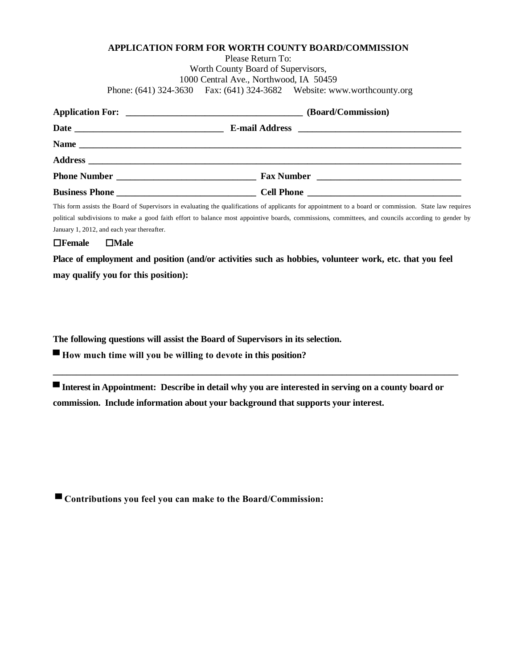## **APPLICATION FORM FOR WORTH COUNTY BOARD/COMMISSION**

Please Return To: Worth County Board of Supervisors, 1000 Central Ave., Northwood, IA 50459 Phone: (641) 324-3630 Fax: (641) 324-3682 Website: www.worthcounty.org

| (Board/Commission) |
|--------------------|
|                    |
|                    |
|                    |
|                    |
|                    |

This form assists the Board of Supervisors in evaluating the qualifications of applicants for appointment to a board or commission. State law requires political subdivisions to make a good faith effort to balance most appointive boards, commissions, committees, and councils according to gender by January 1, 2012, and each year thereafter.

**Female Male**

**Place of employment and position (and/or activities such as hobbies, volunteer work, etc. that you feel may qualify you for this position):**

**The following questions will assist the Board of Supervisors in its selection.**

**▀ How much time will you be willing to devote in this position?**

**▀ Interest in Appointment: Describe in detail why you are interested in serving on a county board or commission. Include information about your background that supports your interest.**

**\_\_\_\_\_\_\_\_\_\_\_\_\_\_\_\_\_\_\_\_\_\_\_\_\_\_\_\_\_\_\_\_\_\_\_\_\_\_\_\_\_\_\_\_\_\_\_\_\_\_\_\_\_\_\_\_\_\_\_\_\_\_\_\_\_\_\_\_\_\_\_\_\_\_\_\_\_\_\_\_\_\_\_\_\_\_\_**

**▀ Contributions you feel you can make to the Board/Commission:**